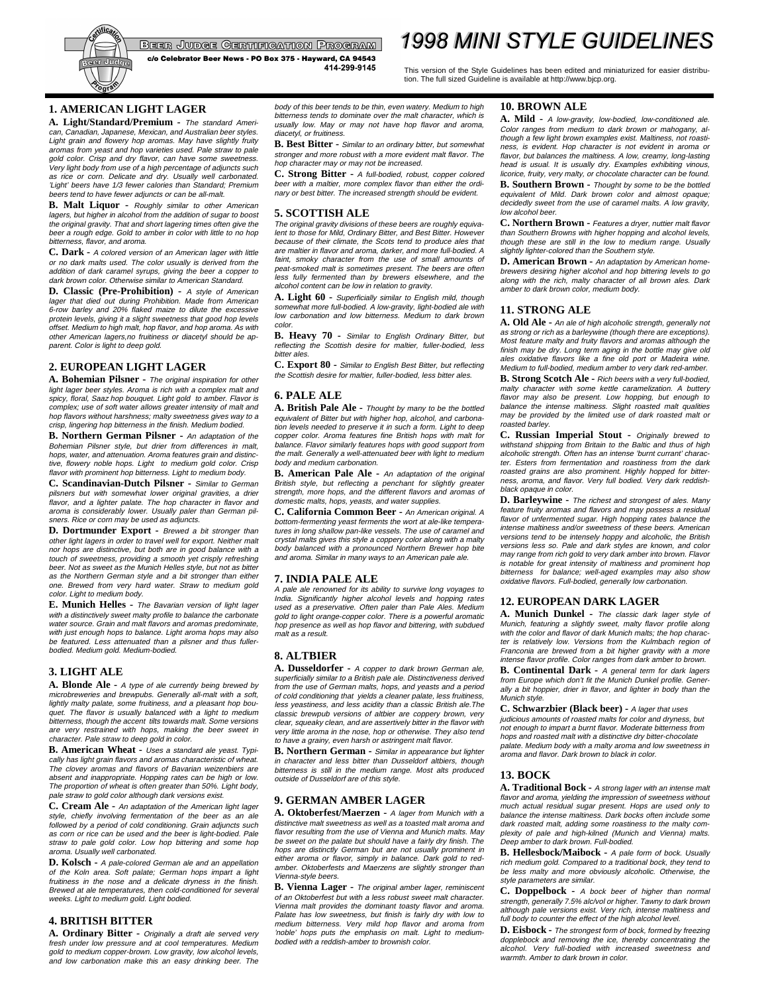

BEER JUDGE GERTIFIGATION PROGRAM

c/o Celebrator Beer News - PO Box 375 - Hayward, CA 94543 414-299-9145

# **1998 MINI STYLE GUIDELINES**

This version of the Style Guidelines has been edited and miniaturized for easier distribution. The full sized Guideline is available at http://www.bjcp.org.

# **1. AMERICAN LIGHT LAGER**

**A. Light/Standard/Premium -** The standard American, Canadian, Japanese, Mexican, and Australian beer styles. Light grain and flowery hop aromas. May have slightly fruity aromas from yeast and hop varieties used. Pale straw to pale gold color. Crisp and dry flavor, can have some sweetness. Very light body from use of a high percentage of adjuncts such as rice or corn. Delicate and dry. Usually well carbonated. 'Light' beers have 1/3 fewer calories than Standard; Premium beers tend to have fewer adjuncts or can be all-malt.

**B. Malt Liquor -** Roughly similar to other American lagers, but higher in alcohol from the addition of sugar to boost the original gravity. That and short lagering times often give the beer a rough edge. Gold to amber in color with little to no hop bitterness, flavor, and aroma.

**C. Dark -** A colored version of an American lager with little or no dark malts used. The color usually is derived from the addition of dark caramel syrups, giving the beer a copper to dark brown color. Otherwise similar to American Standard.

**D. Classic (Pre-Prohibition) -** A style of American lager that died out during Prohibition. Made from American 6-row barley and 20% flaked maize to dilute the excessive protein levels, giving it a slight sweetness that good hop levels offset. Medium to high malt, hop flavor, and hop aroma. As with other American lagers,no fruitiness or diacetyl should be ap-parent. Color is light to deep gold.

# **2. EUROPEAN LIGHT LAGER**

**A. Bohemian Pilsner -** The original inspiration for other light lager beer styles. Aroma is rich with a complex malt and spicy, floral, Saaz hop bouquet. Light gold to amber. Flavor is complex; use of soft water allows greater intensity of malt and hop flavors without harshness; malty sweetness gives way to a crisp, lingering hop bitterness in the finish. Medium bodied.

**B. Northern German Pilsner -** An adaptation of the Bohemian Pilsner style, but drier from differences in malt, hops, water, and attenuation. Aroma features grain and distinctive, flowery noble hops. Light to medium gold color. Crisp flavor with prominent hop bitterness. Light to medium body.

**C. Scandinavian-Dutch Pilsner -** Similar to German pilsners but with somewhat lower original gravities, a drier flavor, and a lighter palate. The hop character in flavor and aroma is considerably lower. Usually paler than German pilsners. Rice or corn may be used as adjuncts.

**D. Dortmunder Export -** Brewed a bit stronger than other light lagers in order to travel well for export. Neither malt nor hops are distinctive, but both are in good balance with a touch of sweetness, providing a smooth yet crisply refreshing beer. Not as sweet as the Munich Helles style, but not as bitter as the Northern German style and a bit stronger than either one. Brewed from very hard water. Straw to medium gold color. Light to medium body.

**E. Munich Helles -** The Bavarian version of light lager with a distinctively sweet malty profile to balance the carbonate water source. Grain and malt flavors and aromas predominate, with just enough hops to balance. Light aroma hops may also be featured. Less attenuated than a pilsner and thus fuller-bodied. Medium gold. Medium-bodied.

# **3. LIGHT ALE**

**A. Blonde Ale -** A type of ale currently being brewed by microbreweries and brewpubs. Generally all-malt with a soft, lightly malty palate, some fruitiness, and a pleasant hop bouquet. The flavor is usually balanced with a light to medium bitterness, though the accent tilts towards malt. Some versions are very restrained with hops, making the beer sweet in character. Pale straw to deep gold in color.

**B. American Wheat -** Uses a standard ale yeast. Typically has light grain flavors and aromas characteristic of wheat. The clovey aromas and flavors of Bavarian weizenbiers are absent and inappropriate. Hopping rates can be high or low. The proportion of wheat is often greater than 50%. Light body, pale straw to gold color although dark versions exist.

**C. Cream Ale -** An adaptation of the American light lager style, chiefly involving fermentation of the beer as an ale followed by a period of cold conditioning. Grain adjuncts such as corn or rice can be used and the beer is light-bodied. Pale straw to pale gold color. Low hop bittering and some hop aroma. Usually well carbonated.

**D. Kolsch -** A pale-colored German ale and an appellation of the Koln area. Soft palate; German hops impart a light fruitiness in the nose and a delicate dryness in the finish. Brewed at ale temperatures, then cold-conditioned for several weeks. Light to medium gold. Light bodied.

# **4. BRITISH BITTER**

**A. Ordinary Bitter -** Originally a draft ale served very fresh under low pressure and at cool temperatures. Medium gold to medium copper-brown. Low gravity, low alcohol levels, and low carbonation make this an easy drinking beer. The body of this beer tends to be thin, even watery. Medium to high bitterness tends to dominate over the malt character, which is usually low. May or may not have hop flavor and aroma, diacetyl, or fruitiness.

**B. Best Bitter -** Similar to an ordinary bitter, but somewhat stronger and more robust with a more evident malt flavor. The hop character may or may not be increased.

**C. Strong Bitter -** A full-bodied, robust, copper colored beer with a maltier, more complex flavor than either the ordinary or best bitter. The increased strength should be evident.

### **5. SCOTTISH ALE**

The original gravity divisions of these beers are roughly equiva-lent to those for Mild, Ordinary Bitter, and Best Bitter. However because of their climate, the Scots tend to produce ales that are maltier in flavor and aroma, darker, and more full-bodied. A faint, smoky character from the use of small amounts of peat-smoked malt is sometimes present. The beers are often less fully fermented than by brewers elsewhere, and the alcohol content can be low in relation to gravity.

**A. Light 60 -** Superficially similar to English mild, though somewhat more full-bodied. A low-gravity, light-bodied ale with low carbonation and low bitterness. Medium to dark brown color.

**B. Heavy 70 -** Similar to English Ordinary Bitter, but reflecting the Scottish desire for maltier, fuller-bodied, less bitter ales.

**C. Export 80 -** Similar to English Best Bitter, but reflecting the Scottish desire for maltier, fuller-bodied, less bitter ales.

# **6. PALE ALE**

**A. British Pale Ale -** Thought by many to be the bottled equivalent of Bitter but with higher hop, alcohol, and carbonation levels needed to preserve it in such a form. Light to deep copper color. Aroma features fine British hops with malt for balance. Flavor similarly features hops with good support from the malt. Generally a well-attenuated beer with light to medium body and medium carbonation.

**B. American Pale Ale -** An adaptation of the original British style, but reflecting a penchant for slightly greater strength, more hops, and the different flavors and aromas of domestic malts, hops, yeasts, and water supplies.

**C. California Common Beer -** An American original. A bottom-fermenting yeast ferments the wort at ale-like temperatures in long shallow pan-like vessels. The use of caramel and crystal malts gives this style a coppery color along with a malty body balanced with a pronounced Northern Brewer hop bite and aroma. Similar in many ways to an American pale ale.

### **7. INDIA PALE ALE**

A pale ale renowned for its ability to survive long voyages to India. Significantly higher alcohol levels and hopping rates used as a preservative. Often paler than Pale Ales. Medium gold to light orange-copper color. There is a powerful aromatic hop presence as well as hop flavor and bittering, with subdued malt as a result.

# **8. ALTBIER**

**A. Dusseldorfer -** A copper to dark brown German ale, superficially similar to a British pale ale. Distinctiveness derived from the use of German malts, hops, and yeasts and a period of cold conditioning that yields a cleaner palate, less fruitiness, less yeastiness, and less acidity than a classic British ale.The classic brewpub versions of altbier are coppery brown, very clear, squeaky clean, and are assertively bitter in the flavor with very little aroma in the nose, hop or otherwise. They also tend to have a grainy, even harsh or astringent malt flavor.

**B. Northern German -** Similar in appearance but lighter in character and less bitter than Dusseldorf altbiers, though bitterness is still in the medium range. Most alts produced outside of Dusseldorf are of this style.

# **9. GERMAN AMBER LAGER**

**A. Oktoberfest/Maerzen -** A lager from Munich with a distinctive malt sweetness as well as a toasted malt aroma and flavor resulting from the use of Vienna and Munich malts. May be sweet on the palate but should have a fairly dry finish. The hops are distinctly German but are not usually prominent in either aroma or flavor, simply in balance. Dark gold to redamber. Oktoberfests and Maerzens are slightly stronger than Vienna-style beers.

**B. Vienna Lager -** The original amber lager, reminiscent of an Oktoberfest but with a less robust sweet malt character. Vienna malt provides the dominant toasty flavor and aroma. Palate has low sweetness, but finish is fairly dry with low to medium bitterness. Very mild hop flavor and aroma from 'noble' hops puts the emphasis on malt. Light to medium-bodied with a reddish-amber to brownish color.

### **10. BROWN ALE**

**A. Mild -** A low-gravity, low-bodied, low-conditioned ale. Color ranges from medium to dark brown or mahogany, although a few light brown examples exist. Maltiness, not roastiness, is evident. Hop character is not evident in aroma or flavor, but balances the maltiness. A low, creamy, long-lasting<br>head is usual. It is usually dry. Examples exhibiting vinous. head is usual. It is usually dry. Examples exhibiting licorice, fruity, very malty, or chocolate character can be found.

**B. Southern Brown -** Thought by some to be the bottled equivalent of Mild. Dark brown color and almost opaque; decidedly sweet from the use of caramel malts. A low gravity, low alcohol beer.

**C. Northern Brown -** Features a dryer, nuttier malt flavor than Southern Browns with higher hopping and alcohol levels, though these are still in the low to medium range. Usually slightly lighter-colored than the Southern style.

**D. American Brown -** An adaptation by American homebrewers desiring higher alcohol and hop bittering levels to go along with the rich, malty character of all brown ales. Dark amber to dark brown color, medium body.

### **11. STRONG ALE**

**A. Old Ale -** An ale of high alcoholic strength, generally not as strong or rich as a barleywine (though there are exceptions). Most feature malty and fruity flavors and aromas although the finish may be dry. Long term aging in the bottle may give old ales oxidative flavors like a fine old port or Madeira wine. Medium to full-bodied, medium amber to very dark red-amber.

**B. Strong Scotch Ale -** Rich beers with a very full-bodied, malty character with some kettle caramelization. A buttery flavor may also be present. Low hopping, but enough to balance the intense maltiness. Slight roasted malt qualities may be provided by the limited use of dark roasted malt or roasted barley.

**C. Russian Imperial Stout -** Originally brewed to withstand shipping from Britain to the Baltic and thus of high alcoholic strength. Often has an intense 'burnt currant' character. Esters from fermentation and roastiness from the dark roasted grains are also prominent. Highly hopped for bitter-ness, aroma, and flavor. Very full bodied. Very dark reddishblack opaque in color.

**D. Barleywine -** The richest and strongest of ales. Many feature fruity aromas and flavors and may possess a residual flavor of unfermented sugar. High hopping rates balance the intense maltiness and/or sweetness of these beers. American versions tend to be intensely hoppy and alcoholic, the British versions less so. Pale and dark styles are known, and color may range from rich gold to very dark amber into brown. Flavor is notable for great intensity of maltiness and prominent hop bitterness for balance; well-aged examples may also show oxidative flavors. Full-bodied, generally low carbonation.

### **12. EUROPEAN DARK LAGER**

**A. Munich Dunkel -** The classic dark lager style of Munich, featuring a slightly sweet, malty flavor profile along with the color and flavor of dark Munich malts; the hop character is relatively low. Versions from the Kulmbach region of Franconia are brewed from a bit higher gravity with a more intense flavor profile. Color ranges from dark amber to brown.

**B. Continental Dark -** A general term for dark lagers from Europe which don't fit the Munich Dunkel profile. Generally a bit hoppier, drier in flavor, and lighter in body than the Munich style.

**C. Schwarzbier (Black beer) -** A lager that uses judicious amounts of roasted malts for color and dryness, but not enough to impart a burnt flavor. Moderate bitterness from hops and roasted malt with a distinctive dry bitter-chocolate palate. Medium body with a malty aroma and low sweetness in aroma and flavor. Dark brown to black in color.

# **13. BOCK**

**A. Traditional Bock -** A strong lager with an intense malt flavor and aroma, yielding the impression of sweetness without much actual residual sugar present. Hops are used only to balance the intense maltiness. Dark bocks often include some dark roasted malt, adding some roastiness to the malty complexity of pale and high-kilned (Munich and Vienna) malts. Deep amber to dark brown. Full-bodied.

**B. Hellesbock/Maibock -** A pale form of bock. Usually rich medium gold. Compared to a traditional bock, they tend to be less malty and more obviously alcoholic. Otherwise, the style parameters are similar.

**C. Doppelbock -** A bock beer of higher than normal strength, generally 7.5% alc/vol or higher. Tawny to dark brown although pale versions exist. Very rich, intense maltiness and full body to counter the effect of the high alcohol level.

**D. Eisbock -** The strongest form of bock, formed by freezing dopplebock and removing the ice, thereby concentrating the alcohol. Very full-bodied with increased sweetness and warmth. Amber to dark brown in color.